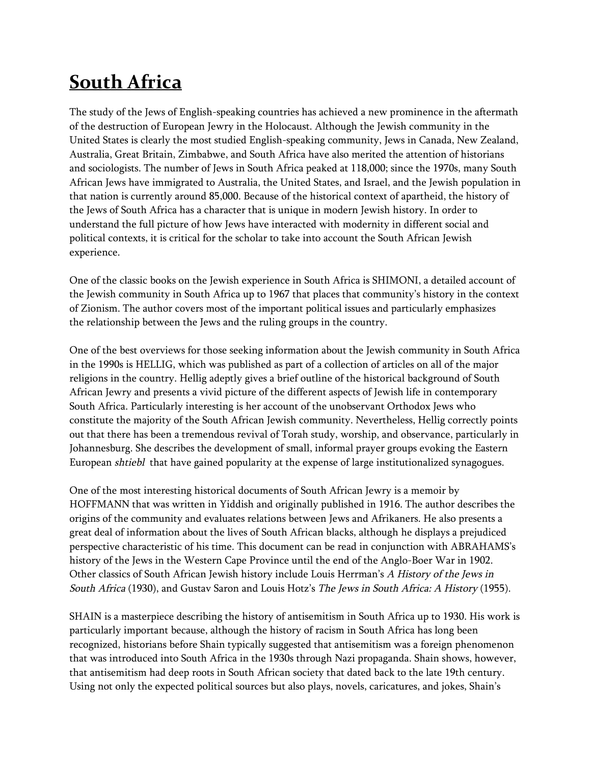## **South Africa**

The study of the Jews of English-speaking countries has achieved a new prominence in the aftermath of the destruction of European Jewry in the Holocaust. Although the Jewish community in the United States is clearly the most studied English-speaking community, Jews in Canada, New Zealand, Australia, Great Britain, Zimbabwe, and South Africa have also merited the attention of historians and sociologists. The number of Jews in South Africa peaked at 118,000; since the 1970s, many South African Jews have immigrated to Australia, the United States, and Israel, and the Jewish population in that nation is currently around 85,000. Because of the historical context of apartheid, the history of the Jews of South Africa has a character that is unique in modern Jewish history. In order to understand the full picture of how Jews have interacted with modernity in different social and political contexts, it is critical for the scholar to take into account the South African Jewish experience.

One of the classic books on the Jewish experience in South Africa is SHIMONI, a detailed account of the Jewish community in South Africa up to 1967 that places that community's history in the context of Zionism. The author covers most of the important political issues and particularly emphasizes the relationship between the Jews and the ruling groups in the country.

One of the best overviews for those seeking information about the Jewish community in South Africa in the 1990s is HELLIG, which was published as part of a collection of articles on all of the major religions in the country. Hellig adeptly gives a brief outline of the historical background of South African Jewry and presents a vivid picture of the different aspects of Jewish life in contemporary South Africa. Particularly interesting is her account of the unobservant Orthodox Jews who constitute the majority of the South African Jewish community. Nevertheless, Hellig correctly points out that there has been a tremendous revival of Torah study, worship, and observance, particularly in Johannesburg. She describes the development of small, informal prayer groups evoking the Eastern European *shtiebl* that have gained popularity at the expense of large institutionalized synagogues.

One of the most interesting historical documents of South African Jewry is a memoir by HOFFMANN that was written in Yiddish and originally published in 1916. The author describes the origins of the community and evaluates relations between Jews and Afrikaners. He also presents a great deal of information about the lives of South African blacks, although he displays a prejudiced perspective characteristic of his time. This document can be read in conjunction with ABRAHAMS's history of the Jews in the Western Cape Province until the end of the Anglo-Boer War in 1902. Other classics of South African Jewish history include Louis Herrman's *<sup>A</sup> History of the Jews in South Africa* (1930), and Gustav Saron and Louis Hotz's *The Jews in South Africa: <sup>A</sup> History* (1955).

SHAIN is a masterpiece describing the history of antisemitism in South Africa up to 1930. His work is particularly important because, although the history of racism in South Africa has long been recognized, historians before Shain typically suggested that antisemitism was a foreign phenomenon that was introduced into South Africa in the 1930s through Nazi propaganda. Shain shows, however, that antisemitism had deep roots in South African society that dated back to the late 19th century. Using not only the expected political sources but also plays, novels, caricatures, and jokes, Shain's